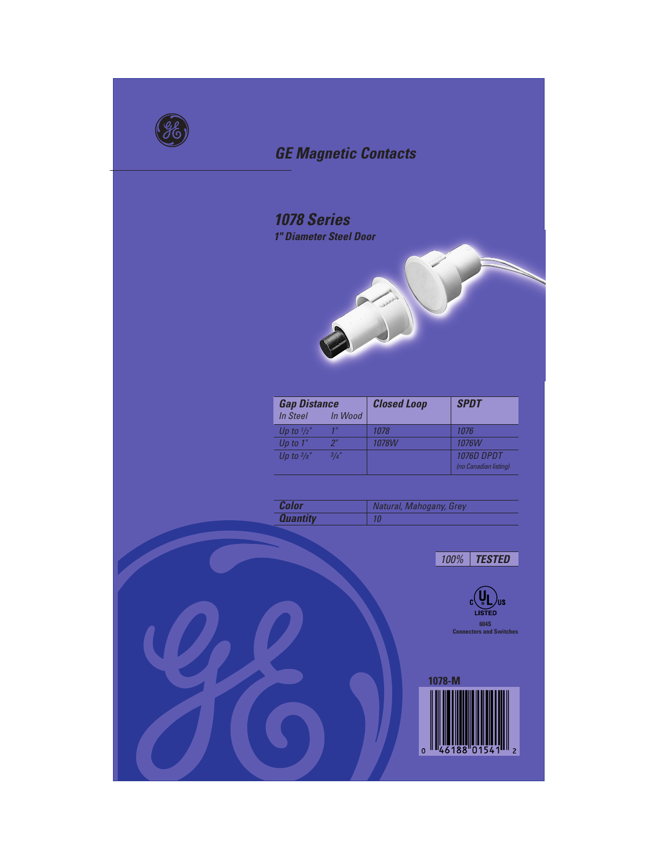